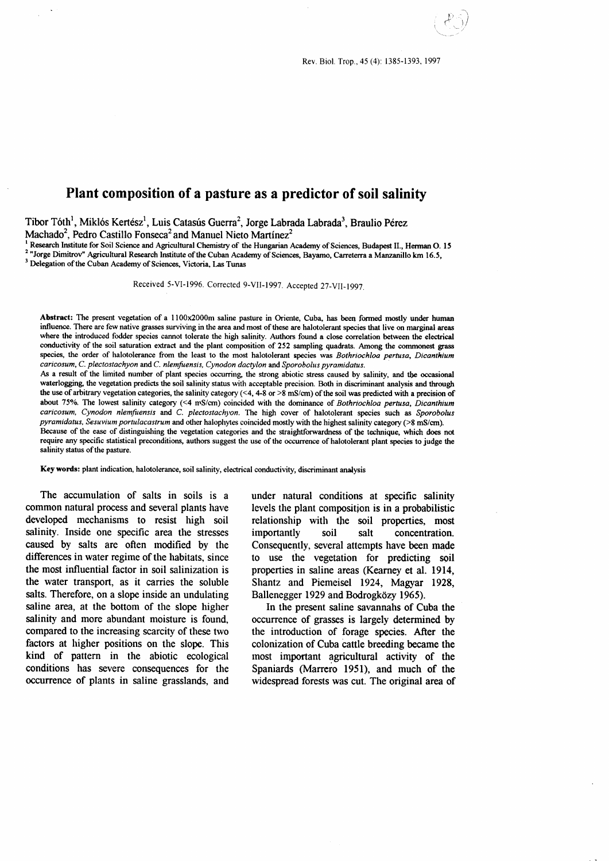$\mathcal{D} \leqslant$  )  $($  .  $\langle \cdot \rangle \rangle$ 

# Plant composition of a pasture as a predictor of soil salinity

Tibor Tóth<sup>1</sup>, Miklós Kertész<sup>1</sup>, Luis Catasús Guerra<sup>2</sup>, Jorge Labrada Labrada<sup>3</sup>, Braulio Pérez Machado<sup>2</sup>, Pedro Castillo Fonseca<sup>2</sup> and Manuel Nieto Martínez<sup>2</sup><br><sup>1</sup> Research Institute for Soil Science and Agricultural Chemistry of the Hungarian Academy of Sciences, Budapest II., Herman O. 15

<sup>2</sup> "Jorge Dimitrov" Agricultural Research Institute of the Cuban Academy of Sciences, Bayamo, Carreterra a Manzanillo km 16.5, <sup>3</sup> Delegation of the Cuban Academy of Sciences, Victoria, Las Tunas

Received 5-VI-1996. Corrected 9-VII-1997. Accepted 27-VII-1997.

Abstract: The present vegetation of a l100x2000m saline pasture in Oriente, Cuba, has been formed mostly under human influence. There are few native grasses surviving in the area and most of these are halotolerant species that live on marginal areas where the introduced fodder species cannot tolerate the high salinity. Authors found a close correlation between the electrical conductivity of the soil saturation extract and the plant composition of 252 sampling quadrats. Among the commonest grass species, the order of halotolerance from the least to the most halotolerant species was Bothriochloa pertusa, Dicanthium caricosum, C. plectostachyon and C. nlemfuensis, Cynodon dactylon and Sporobolus pyramidatus.

As a result of the limited number of plant species occurring, the strong abiotic stress caused by salinity, and the occasional waterlogging, the vegetation predicts the soil salinity status with acceptable precision. Both in discriminant analysis and through the use of arbitrary vegetation categories, the salinity category (<4, 4-8 or >8 mS/cm) ofthe soil was predicted with a precision of about 75%. The lowest salinity category (<4 mS/cm) coincided with the dominance of Bothriochloa pertusa, Dicanthium caricosum, Cynodon nlemfuensis and C. plectostachyon. The high cover of halotolerant species such as Sporobolus pyramidatus, Sesuvium portulacastrum and other halophytes coincided mostly with the highest salinity category (>8 mS/cm). Because of the ease of distinguishing the vegetation categories and the straightforwardness of the technique, which does not

require any specific statistical preconditions, authors suggest the use of the occurrence of halotolerant plant species to judge the salinity status of the pasture.

Key words: plant indication, halotolerance, soil salinity, electrical conductivity, discriminant analysis

The accumulation of salts in soils is a common natural process and several plants have developed mechanisms to resist high soil salinity. Inside one specific area the stresses caused by salts are often rnodified by the differences in water regime of the habitats, since the most influential factor in soil salinization is the water transport, as it carries the soluble salts. Therefore, on a slope inside an undulating saline area, at the bottom of the slope higher salinity and more abundant moisture is found, compared to the increasing scarcity of these two factors at higher positions on the slope. This kind of pattern in the abiotic ecological conditions has severe consequences for the occurrence of plants in saline grasslands, and

under natural conditions at specific salinity levels the plant composition is in a probabilistic relationship with the soil properties, most importantly soil salt concentration. Consequently, several attempts have been made to use the vegetation for predicting soil properties in saline areas (Kearney et al. 1914, Shantz and Piemeisel 1924, Magyar 1928, Ballenegger 1929 and Bodrogközy 1965).

In the present saline savannahs of Cuba the occurrence of grasses is largely determined by the introduction of forage species. After the colonization of Cuba cattle breeding became the most important agricultural activity of the Spaniards (Marrero l95l), and much of the widespread forests was cut. The original area of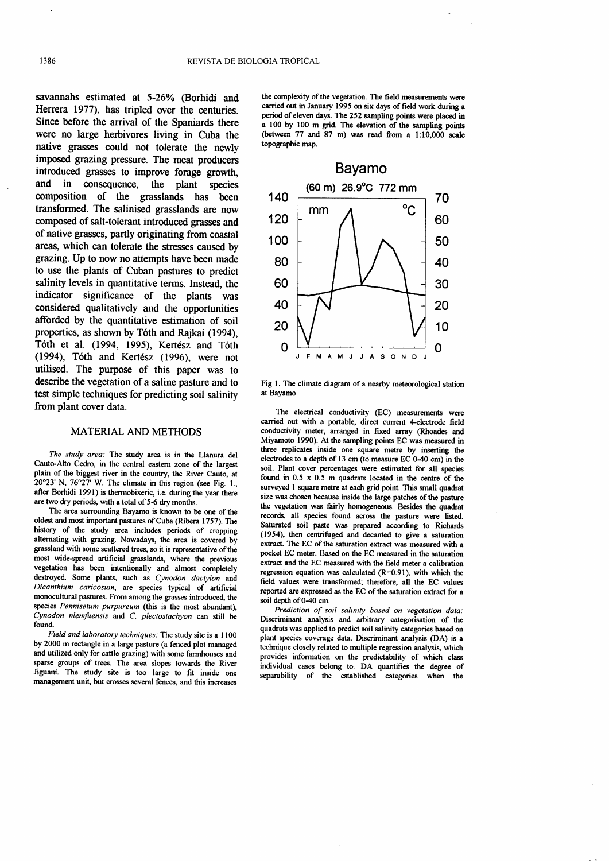savannahs estimated at 5-26% (Borhidi and Herrera 1977), has tripled over the centuries. Since before the arrival of the Spaniards there were no large herbivores living in Cuba the native grasses could not tolerate the newly imposed grazing pressure. The meat producers introduced grasses to improve forage growth, and in consequence, the plant species composition of the grasslands has been transformed. The salinised grasslands are now composed of salt-tolerant introduced grasses and of native grasses, partly originating from coastal areas, which can tolerate the stresses caused by gazing. Up to now no attempts have been made to use the plants of Cuban pastures to predict salinity levels in quantitative terms. Instead, the indicator significance of the plants was considered qualitatively and the opportunities afforded by the quantitative estimation of soil properties, as shown by T6th and Rajkai (1994), Tóth et al. (1994, 1995), Kertész and Tóth (1994), Tóth and Kertész (1996), were not utilised. The purpose of this paper was to describe the vegetation of a saline pasture and to test simple techniques for predicting soil salinity from plant cover data.

### MATERIAL AND METHODS

The study area: The study area is in the Llanura del Cauto-Alto Cedro, in the central eastern zone of the largest plain of the biggest river in the country, the River Cauto, at  $20^{\circ}23'$  N,  $76^{\circ}27'$  W. The climate in this region (see Fig. 1., after Borhidi l99l) is thermobixeric, i.e. during the year there are two dry periods, with a total of 5-6 dry months.

The area surrounding Bayamo is known to be one of the oldest and most important pastures of Cuba (Ribera 1757). The history of the study area includes periods of cropping alternating with grazing. Nowadays, the area is covered by grassland with some scattered trees, so it is representative of the most wide-spread artificial grasslands, where the previous vegetation has been intentionally and almost completely destroyed. Some plants, such as Cynodon dactylon and Dicanthium caricosum, are species typical of artificial monocultural pastures. From among the grasses introduced, the species Pennisetum purpureum (this is the most abundant),  $\dot{C}$ ynodon nlemfuensis and  $C$ . plectostachyon can still be found.

Field and laboratory techniques: The study site is a I100 by 2000 nr rectangle in a large pasture (a fenced plot managed and utilized only for cattle grazing) with some farmhouses and sparse groups of trees. The area slopes towards the River Jiguani. The study site is too large to fit inside one management unit, but crosses several fences, and this increases the complexity of the vegetation. The field measurements were carried out in January 1995 on six days of field work during a period of eleven days. The 252 sampling points were placed in a 100 by 100 m grid. The elevation of the sampling points (between 77 and 87 m) was read from a l:10,000 scale topographic map.



Fig 1. The climate diagram of a nearby meteorological station at Bayamo

The electrical conductivity (EC) measurements were carried out with a portable, direct current 4-electrode field conductivity meter, arranged in fixed array (Rhoades and Miyamoto 1990). At the sampling points EC was measured in three replicates inside one square metre by inserting the electrodes to a depth of 13 cm (to measure EC 0-40 cm) in the soil. Plant cover percentages were estimated for all species found in 0.5 x 0.5 m quadrats located in the centre of the surveyed I square metre at each grid point. This small quadrat size was chosen because inside the large patches of the pasture the vegetation was fairly homogeneous. Besides the quadrat records, all species found across the pasture were listed. Saturated soil paste was prepared according to Richards (1954), then centrifuged and decanted to give a saturation extract. The EC of the saturation extract was measured with a pocket EC meter. Based on the EC measured in the saturation extract and the EC measured with the field meter a calibration regression equation was calculated  $(R=0.91)$ , with which the field values were transformed; therefore, all the EC values reported are expressed as the EC of the saturation extract for a soil depth of 0-40 cm.

Prediction of soil salinity based on vegetation data: Discriminant analysis and arbitrary categorisation of the quadrats was applied to predict soil salinity categories based on plant species coverage data. Discriminant analysis (DA) is a technique closely related to multiple regression analysis, which provides information on the predictability of which class individual cases belong to. DA quantifies the degree of separability of the established categories when the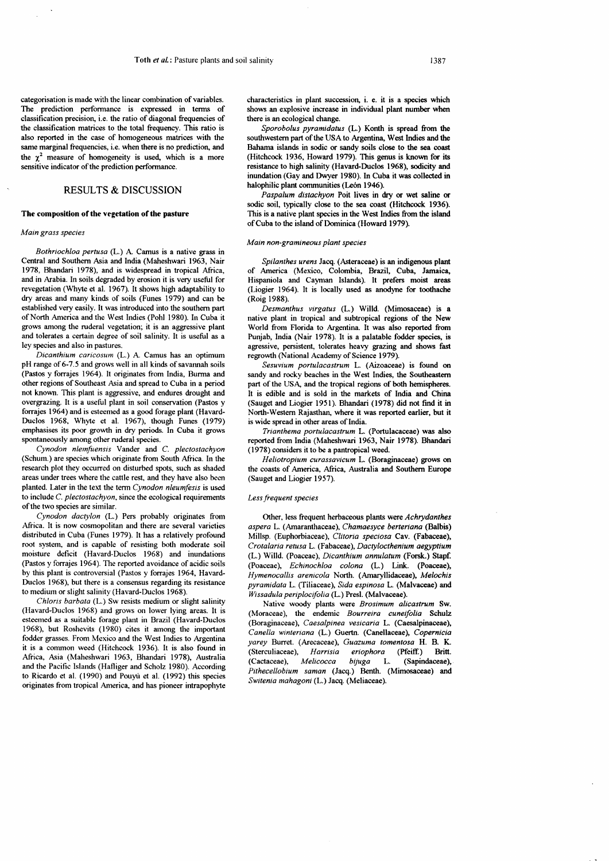categorisation is made with the linear combination of variables. The prediction performance is expressed in terrns of classification precision, i.e. the ratio of diagonal frequencies of the classification matrices to the total frequancy. This ratio is also reported in the case of homogeneous matrices with the same marginal frequencies, i.e. when there is no prediction, and the  $\chi^2$  measure of homogeneity is used, which is a more sensitive indicator of the prediction performance.

## RESULTS & DISCUSSION

### The composition of the vegetation of the pasture

#### Main grass species

Bothriochloa pertusa (L.) A Camus is a native grass in Central and Southern Asia and India (Maheshwari 1963, Nair 1978, Bhandari 1978), and is widespread in tropical Africa, and in Arabia. In soils degraded by erosion it is very useful for revegetation (Whyte et al. 1967). It shows high adaptability to dry areas and many kinds of soils (Funes 1979) and can be established very easily. It was introduced into the southem part of North America and the West Indies (Pohl 1980). In Cuba it grows among the ruderal vegetation; it is an aggressive plant and tolerates a certain degree of soil salinity. It is useful as a ley species and also in pastures.

Dicanthium caricosum (L.) A. Camus has an optimum pH range of 6-7.5 and grows well in all kinds of savannah soils (Pastos y forrajes 1964). It originates from India, Burma and other regions of Southeast Asia and spread to Cuba in a period not known. This plant is aggressive, and endures drought and overgrazing. It is a useful plant in soil conservation (Pastos y forrajes 1964) and is esteemed as a good forage plant (Havard-Duclos 1968, Whyte et al. 1967), though Funes (1979) emphasises its poor growth in dry periods. In Cuba it grows spontaneously among other ruderal species.

Cynodon nlemfuensis Vander and C. plectostachyon (Schum.) are species which originate from South Africa. In the research plot they occurred on disturbed spots, such as shaded areas under trees where the cattle rest, and they have also been planted. Later in the text the term Cynodon nleumfesis is used to include C. plectostachyon, since the ecological requirements of the two species are similar.

Cynodon dactylon (L.) Pers probably originates from Africa. It is now cosmopolitan and there are several varieties distributed in Cuba (Funes 1979). It has a relatively profound root systan, and is capable of resisting both moderate soil moisture deficit (Havard-Duclos 1968) and inundations (Pastos y fonajes 1964). The reported avoidance of acidic soils by this plant is controversial (Pastos y forrajes 1964, Havard-Duclos 1968), but there is a consensus regarding its resistance to medium or slight salinity (Havard-Duclos 1968).

Chloris barbata (L.) Sw resists medium or slight salinity (Havard-Duclos 1968) and grows on lower lying areas. It is esteemed as a suitable forage plant in Brazil (Havard-Duclos 1968), but Roshevits (1980) cites it among the important fodder grasses. From Mexico and the West Indies to Argentina it is a conunon weed (Hitchcock 1936). It is also found in Africa, Asia (Maheshwari 1963, Bhandari 1978), Australia and the Pacific Islands (Hafliger and Scholz 1980). According to Ricardo et al. (1990) and Pouyú et al. (1992) this species originates from tropical Anrerica, and has pioneer intrapophyte

characteristics in plant succession, i. e. it is a species which shows an explosive increase in individual plant number when there is an ecological change.

Sporobolus pyramidatus (L.) Konth is spread from the southwestern part of the USA to Argentina, West Indies and the Bahama islands in sodic or sandy soils close to the sea coast (Hitchcock 1936, Howard 1979). This genus is known for its resistance to high salinity (Havard-Duclos 1968), sodicity and inundation (Gay and Duyer 1980). In Cuba it was collected in halophilic plant communities (León 1946).

Paspalum distachyon Poit lives in dry or wet saline or sodic soil, typically close to the sea coast (Hitchcock 1936). This is a native plant species in the West Indies from the island of Cuba to the island of Dominica (Howard 1979).

#### Main non-gramineous plant species

Spilanthes urens Jacq. (Asteraceae) is an indigenous plant of America (Mexico, Colombia, Brazil, Cuba, Jamaica, Hispaniola and Cayman Islands). It prefers moist areas (Liogier 1964). It is locally used as anodyne for toothache (Roig 1988).

Desmanthus virgatus (L.) Willd. (Mimosaceae) is a native plant in tropical and subtropical regions of the New World from Florida to Argentina. It was also reported from Punjab, India (Nair 1978). It is a palatable fodder species, is agressive, persistent, tolerates heavy grazing and shows fast regrowth (National Academy of Science 1979).

Sesuvium portulacastrum L. (Aizoaceae) is found on saudy and rocky beaches in the West Indies, the Southeastern part of the USA, and the tropical regions of both hemispheres. It is edible and is sold in the markets of India and China (Sauget and Liogier 1951). Bhandari (1978) did not find it in North-Western Rajasthan, where it was reported earlier, but it is wide spread in other areas of India.

Trianthema portulacastrun L. (Portulacaceae) was also reported from India (Maheshwari 1963, Nair 1978). Bhandari ( 1978) considers it to be a pantropical weed.

Heliotropium curassavicum L. (Boraginaceae) grows on the coasts of America, Africa, Australia and Southern Europe (Sauget and Liogier 1957).

#### Less frequent species

Other, less frequent herbaceous plants were Achrydanthes aspera L. (Amaranthaceae), Chamaesyce berteriana (Balbis) Millsp. (Euphorbiaceae), Clitoria speciosa Cav. (Fabaceae), Crotalaria retusa L. (Fabaceae), Dactylocthenium aegyptium (L.) Willd. (Poaceae), Dicanthium annulatum (Forsk.) Stapf. (Poaceae), Echinochloa colona (L.) Link. (Poaceae), Hymenocallis arenicola North. (Amaryllidaceae), Melochis pyramidata L. (Tiliaceae), Sida espinosa L. (Malvaceae) and Wissadula periplocifolia (L.) Presl. (Malvaceae).

Native woody plants were Brosimum alicastrum Sw. (Moraceae), the endemic Bourreira cuneifolia Schulz (Boraginaceae), Caesalpinea vesicaria L. (Caesalpinaceae), Canella winteriana (L.) Guertn. (Canellaceae), Copernicia yarey Burret. (Arecaceae), Guazuma tomentosa H. B. K. (Sterculiaceae), Harrisia eriophora (Pfeiff.) Britt. (Cactaceae), Melicocca bijuga L. (Sapindaceae), Pithecellobium saman (Jacq.) Benth. (Mimosaceae) and Switenia nnhagoni (L.) Jacq. (Meliaceae).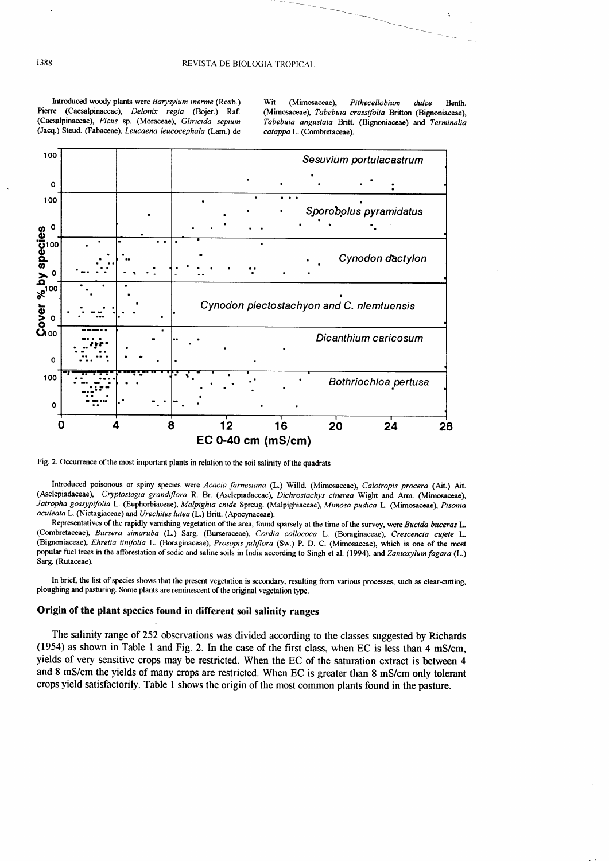Introduced woody plants were Barysylum inerme (Roxb.) Pierre (Caesalpinaceae), Delonix regia (Bojer.) Raf. (Caesalpinaceae), Ficus sp. (Moraceae), Gliricida sepium (Jacq.) Steud. (Fabaceae), Leucaena leucocephala (Lam.) de Wit (Mimosaceae), Pithecellobium dulce Benth. (Mimosaceae), Tabebuia crassifolia Britton (Bignoniaceae). Tabebuia angustata Britt. (Bignoniaceae) and Terminalia catappa L. (Combretaceae).



Fig. 2. Occurrence of the most important plants in relation to the soil salinity of the quadrats

Introduced poisonous or spiny species were Acacia farnesiana (L.) Willd. (Mimosaceae), Calotropis procera (Ait.) Ait. (Asclepiadaceae), Cryptostegia grandiflora R. Br. (Asclepiadaceae), Dichrostachys cinerea Wight and Arm. (Mimosaceae), Jatropha gossypifolia L. (Euphorbiaceae), Malpighia cnide Spreug. (Malpighiaceae), Mimosa pudica L. (Mimosaceae), Pisonia aculeata L. (Nictagiaceae) and Urechites lutea (L.) Britt. (Apocynaceae).

Representatives of the rapidly vanishing vegetation of the area, found sparsely at the time of the survey, were Bucida buceras L. (Combretaceae), Bursera simaruba (L.) Sarg. (Burseraceae), Cordia collococa L. (Boraginaceae), Crescencia cujete L. (Bignoniaceae), Ehretia tinifolia L. (Boraginaceae), Prosopis juliflora (Sw.) P. D. C. (Mimosaceae), which is one of the most popular fuel trees in the afforestation of sodic and saline soils in India according to Singh et al. (1994), and Zantoxylum fagara (L.) Sarg. (Rutaceae).

In brief, the list of species shows that the present vegetation is secondary, resulting from various processes, such as clear-cutting, ploughing and pasturing. Some plants are reminescent of the original vegetation type.

# Origin of the plant species found in different soil salinity ranges

The salinity range of 252 observations was divided according to the classes suggested by Richards (1954) as shown in Table 1 and Fig. 2. In the case of the first class, when EC is less than 4 mS/cm, yields of very sensitive crops may be restricted. When the EC of the saturation extract is between 4 and 8 mS/cm the yields of many crops are restricted. When EC is greater than 8 mS/cm only tolerant crops yield satisfactorily. Table 1 shows the origin of the most common plants found in the pasture.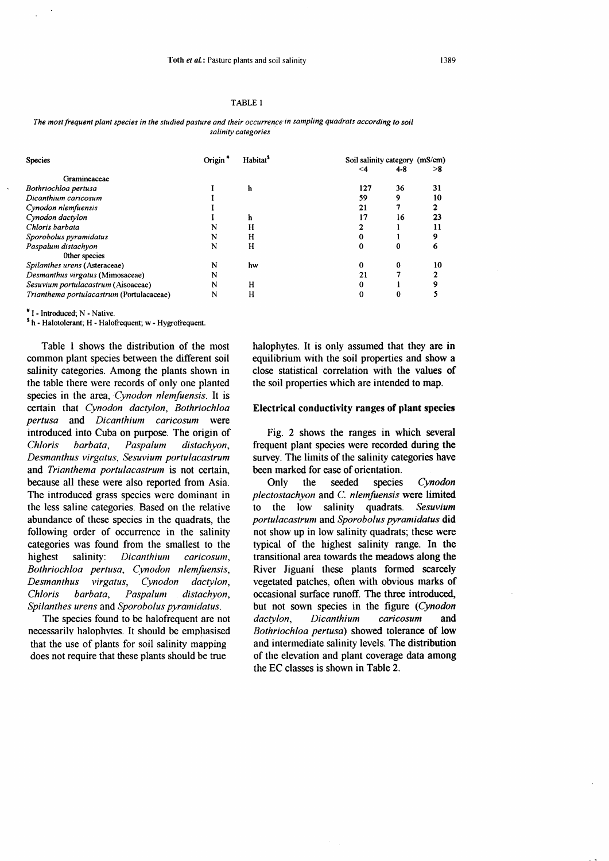#### TABLE 1

The most frequent plant species in the studied pasture and their occurrence in sampling quadrats according to soil salinity categories

| Species                                   | Origin <sup>*</sup> | <b>Habitat</b> <sup>5</sup> | Soil salinity category (mS/cm) |         |    |
|-------------------------------------------|---------------------|-----------------------------|--------------------------------|---------|----|
|                                           |                     |                             | $\leq$ 4                       | $4 - 8$ | >8 |
| Gramineaceae                              |                     |                             |                                |         |    |
| Bothriochloa pertusa                      |                     | h                           | 127                            | 36      | 31 |
| Dicanthium caricosum                      |                     |                             | 59                             | 9       | 10 |
| Cynodon nlemfuensis                       |                     |                             | 21                             |         |    |
| Cynodon dactylon                          |                     | h                           | 17                             | 16      | 23 |
| Chloris barbata                           | N                   | н                           |                                |         |    |
| Sporobolus pyramidatus                    | N                   | н                           | 0                              |         | 9  |
| Paspalum distachyon                       | N                   | н                           | 0                              | 0       | 6  |
| Other species                             |                     |                             |                                |         |    |
| Spilanthes urens (Asteraceae)             | N                   | hw                          |                                | 0       | 10 |
| Desmanthus virgatus (Mimosaceae)          | N                   |                             | 21                             |         |    |
| Sesuvium portulacastrum (Aisoaceae)       | N                   | н                           |                                |         |    |
| Trianthema portulacastrum (Portulacaceae) | N                   | н                           | 0                              |         |    |

<sup>#</sup> I - Introduced: N - Native.

<sup>5</sup> h - Halotolerant; H - Halofrequent; w - Hygrofrequent.

Table 1 shows the distribution of the most common plant species between the different soil salinity categories. Among the plants shown in the table there were records of only one planted species in the area, Cynodon nlemfuensis. It is certain that Cynodon dactylon, Bothriochloa pertusa and Dicanthium caricosum were introduced into Cuba on purpose. The origin of **Chloris** barbata. Paspalum distachyon, Desmanthus virgatus, Sesuvium portulacastrum and Trianthema portulacastrum is not certain, because all these were also reported from Asia. The introduced grass species were dominant in the less saline categories. Based on the relative abundance of these species in the quadrats, the following order of occurrence in the salinity categories was found from the smallest to the highest salinity: Dicanthium caricosum. Bothriochloa pertusa, Cynodon nlemfuensis, **Desmanthus** virgatus. Cynodon dactylon, **Chloris** barbata, Paspalum distachyon. Spilanthes urens and Sporobolus pyramidatus.

The species found to be halofrequent are not necessarily halophytes. It should be emphasised that the use of plants for soil salinity mapping does not require that these plants should be true

halophytes. It is only assumed that they are in equilibrium with the soil properties and show a close statistical correlation with the values of the soil properties which are intended to map.

# Electrical conductivity ranges of plant species

Fig. 2 shows the ranges in which several frequent plant species were recorded during the survey. The limits of the salinity categories have been marked for ease of orientation.

seeded species Only the Cynodon plectostachyon and C. nlemfuensis were limited to the low salinity quadrats. Sesuvium portulacastrum and Sporobolus pyramidatus did not show up in low salinity quadrats; these were typical of the highest salinity range. In the transitional area towards the meadows along the River Jiguani these plants formed scarcely vegetated patches, often with obvious marks of occasional surface runoff. The three introduced, but not sown species in the figure (Cynodon dactylon. Dicanthium caricosum and Bothriochloa pertusa) showed tolerance of low and intermediate salinity levels. The distribution of the elevation and plant coverage data among the EC classes is shown in Table 2.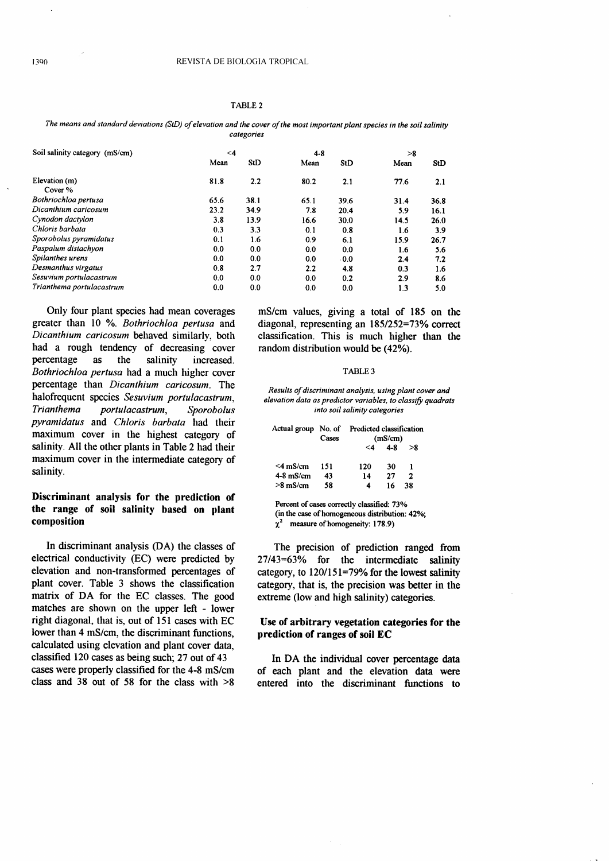### TABLE 2

The means and standard deviations (StD) of elevation and the cover of the most important plant species in the soil salinity categories

| Soil salinity category (mS/cm) | $\leq 4$       |      | $4 - 8$ |      | >8   |      |
|--------------------------------|----------------|------|---------|------|------|------|
|                                | Mean           | StD  | Mean    | StD  | Mean | StD  |
| Elevation (m)<br>Cover %       | 81.8           | 2.2  | 80.2    | 2.1  | 77.6 | 2.1  |
| Bothriochloa pertusa           | 65.6           | 38.1 | 65.1    | 39.6 | 31.4 | 36.8 |
| Dicanthium caricosum           | 23.2           | 34.9 | 7.8     | 20.4 | 5.9  | 16.1 |
| Cynodon dactylon               | 3.8            | 13.9 | 16.6    | 30.0 | 14.5 | 26.0 |
| Chloris barbata                | 0.3            | 3.3  | 0.1     | 0.8  | 1.6  | 3.9  |
| Sporobolus pyramidatus         | 0.1            | 1.6  | 0.9     | 6.1  | 15.9 | 26.7 |
| Paspalum distachyon            | 0.0            | 0.0  | 0.0     | 0.0  | 1.6  | 5.6  |
| Spilanthes urens               | 0.0            | 0.0  | 0.0     | 0.0  | 2.4  | 7.2  |
| Desmanthus virgatus            | 0.8            | 2.7  | 2.2     | 4.8  | 0.3  | 1.6  |
| Sesuvium portulacastrum        | 0 <sub>0</sub> | 0.0  | 0.0     | 0.2  | 2.9  | 8.6  |
| Trianthema portulacastrum      | 0.0            | 0.0  | 0.0     | 0.0  | 1.3  | 5.0  |

Only four plant species had mean coverages greater than 10 %. Bothriochloa pertusa and Dicanthium caricosum behaved similarly, both had a rough tendency of decreasing cover percentage as the salinity increased. Bothriochloa pertusa had a much higher cover percentage than Dicanthium caricosum. The halofrequent species Sesuvium portulacastrum, Trianthema portulacastrum, Sporobolus pyramidatus and Chloris barbata had their maximum cover in the highest category of salinity. All the other plants in Table 2 had their maximum cover in the intermediate category of salinity.

# Discriminant analysis for the prediction of the range of soil salinity based on plant composition

In discriminant analysis (DA) the classes of electrical conductivity (EC) were predicted by elevation and non-transformed percentages of plant cover. Table 3 shows the classification matrix of DA for the EC classes. The good matches are shown on the upper left - lower right diagonal, that is, out of l5l cases with EC lower than 4 mS/cm, the discriminant functions, calculated using elevation and plant cover data, classified 120 cases as being such; 27 out of 43 cases were properly classified for the 4-8 mS/cm class and 38 out of 58 for the class with  $>8$ 

mS/cm values, giving a total of 185 on the diagonal, representing an  $185/252=73%$  correct classification. This is much higher than the random distribution would be (42%).

#### TABLE 3

Results of discriminant analysis, using plant cover and elevation data as predictor variables, to classify quadrats into soil salinity categories

|             | Cases | Actual group No. of Predicted classification<br>(mS/cm) |               |     |  |
|-------------|-------|---------------------------------------------------------|---------------|-----|--|
|             |       |                                                         | $< 4$ $4 - 8$ | > 8 |  |
| $<$ 4 mS/cm | 151   | 120                                                     | 30            |     |  |
| $4-8$ mS/cm | 43    | 14                                                      | 27            | 2   |  |
| $>8$ mS/cm  | 58    | 4                                                       | 16            | 38  |  |

Percent of cases correctly classified: 73% (in the case of homogeneous distribution: 42%;

measure of homogeneity: 178.9)

The precision of prediction ranged from  $27/43=63%$  for the intermediate salinity category, to  $120/151=79%$  for the lowest salinity category, that is, the precision was better in the extreme (low and high salinity) categories.

# Use of arbitrary vegetation categories for the prediction of ranges of soil EC

In DA the individual cover percentage data of each plant and the elevation data were entered into the discriminant functions to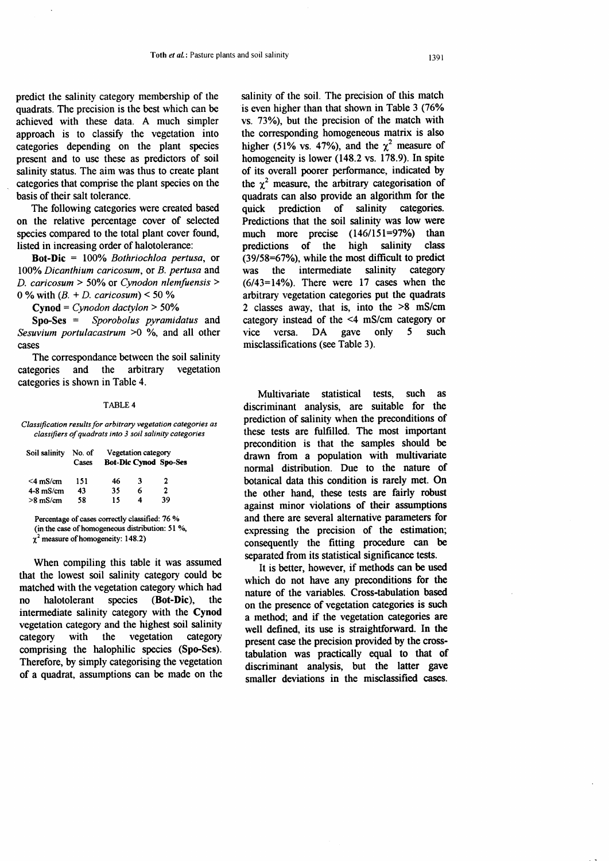predict the salinity category membership of the quadrats. The precision is the best which can be achieved with these data. A much simpler approach is to classify the vegetation into categories depending on the plant species present and to use these as predictors of soil salinity status. The aim was thus to create plant categories that comprise the plant species on the basis of their salt tolerance.

The following categories were created based on the relative percentage cover of selected species compared to the total plant cover found, listed in increasing order of halotolerance:

Bot-Dic = 100% Bothriochloa pertusa, or 100% Dicanthium caricosum, or B. pertusa and D. caricosum > 50% or Cynodon nlemfuensis > 0 % with  $(B. + D.$  caricosum) < 50 %

 $Cynod = Cynodon$  dactylon  $> 50\%$ 

Spo-Ses = Sporobolus pyramidatus and Sesuvium portulacastrum  $>0$  %, and all other cases

The correspondance between the soil salinity categories and the arbitrary vegetation categories is shown in Table 4.

#### TABLE 4

Classification results for arbitrary vegetation categories as classifiers of quadrats into 3 soil salinity categories

| Soil salinity | No. of | Vegetation category |   |                              |  |
|---------------|--------|---------------------|---|------------------------------|--|
|               | Cases  |                     |   | <b>Bot-Dic Cynod Spo-Ses</b> |  |
| $<$ 4 mS/cm   | 151    | 46                  | 3 | 2                            |  |
| $4-8$ mS/cm   | 43     | 35                  | 6 | $\mathbf{2}$                 |  |
| $>8$ mS/cm    | 58     | 15                  | 4 | 39                           |  |

Percentage of cases correctly classified: 76 % (in the case of homogeneous distribution: 51 %,  $\chi^2$  measure of homogeneity: 148.2)

When compiling this table it was assumed that the lowest soil salinity category could be matched with the vegetation category which had no halotolerant species (Bot-Dic), the intermediate salinity category with the Cynod vegetation category and the highest soil salinity category with the vegetation category comprising the halophilic species (Spo-Ses). Therefore, by simply categorising the vegetation of a quadrat, assumptions can be made on the salinity of the soil. The precision of this match is even higher than that shown in Table 3 (76% vs. 73%), but the precision of the match with the corresponding homogeneous matrix is also higher (51% vs. 47%), and the  $\chi^2$  measure of homogeneity is lower (148.2 vs. 178.9). In spite of its overall poorer performance, indicated by the  $\chi^2$  measure, the arbitrary categorisation of quadrats can also provide an algorithm for the quick prediction of salinity categories. Predictions that the soil salinity was low were much more precise (146/151=97%) than predictions of the high salinity class  $(39/58=67\%)$ , while the most difficult to predict was the intermediate salinity category  $(6/43=14\%)$ . There were 17 cases when the arbitrary vegetation categories put the quadrats 2 classes away, that is, into the >8 mS/cm category instead of the <4 mS/cm category or vice versa. DA gave only 5 such misclassifications (see Table 3).

Multivariate statistical tests, such as discriminant analysis, are suitable for the prediction of salinity when the preconditions of these tests are fulfilled. The most important precondition is that the samples should be drawn from a population with multivariate norrnal distribution. Due to the nature of botanical data this condition is rarely met. On the other hand, these tests are fairly robust against minor violations of their assumptions and there are several alternative parameters for expressing the precision of the estimation; consequently the fitting procedure can be separated from its statistical significance tests.

It is better, however, if methods can be used which do not have any preconditions for the nature of the variables. Cross-tabulation based on the presence of vegetation categories is zuch a method; and if the vegetation categories are well defined, its use is straightforward. In the present case the precision provided by the crosstabulation was practically equal to that of discriminant analysis, but the latter gave smaller deviations in the misclassified cases.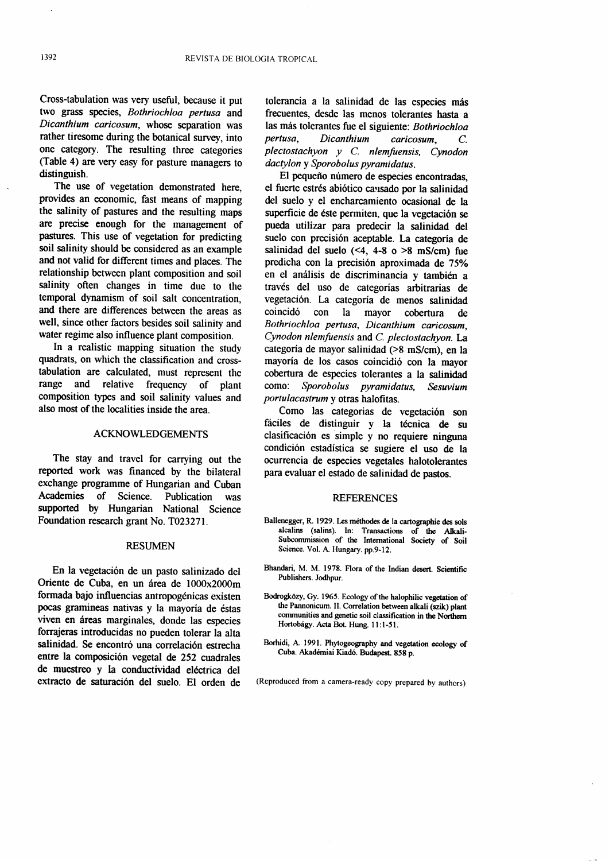Cross-tabulation was very useful, because it put two grass species, Bothriochloa pertusa and Dicanthium caricosum, whose separation was rather tiresome during the botanical survey, into one category. The resulting three categories (Table 4) are very easy for pasture managers to distinguish.

The use of vegetation demonstrated here, provides an economic, fast means of mapping the salinity of pastures and the resulting maps are precise enough for the management of pastures. This use of vegetation for predicting soil salinity should be considered as an example and not valid for different times and places. The relationship between plant composition and soil salinity often changes in time due to the temporal dynamism of soil salt concentration, and there are differences between the areas as well, since other factors besides soil salinity and water regime also influence plant composition.

In a realistic mapping situation the study quadrats, on which the classification and crosstabulation are calculated, must represent the range and relative frequency of plant composition types and soil salinity values and also most of the localities inside the area.

#### ACKNOWLEDGEMENTS

The stay and travel for carrying out the reported work was financed by the bilateral exchange programme of Hungarian and Cuban Academies of Science. Publication was supported by Hungarian National Science Foundation research grant No. T023271.

#### RESUMEN

En la vegetación de un pasto salinizado del Oriente de Cuba, en un área de 1000x2000m formada bajo influencias antropogénicas existen pocas gramineas nativas y la mayoría de éstas viven en áreas marginales, donde las especies forrajeras introducidas no pueden tolerar la alta salinidad. Se encontró una correlación estrecha entre la composición vegetal de 252 cuadrales de muestreo y la conductividad eléctrica del extracto de saturación del suelo. El orden de

tolerancia a la salinidad de las especies más frecuentes, desde las menos tolerantes hasta a las más tolerantes fue el siguiente: Bothriochloa pertusa, Dicanthium caricosum, C. plectostachyon y C. nlemfuensis, Cynodon dactylon y Sporobolus pyramidatus.

El pequeño número de especies encontradas, el fuerte estrés abiótico causado por la salinidad del suelo y el encharcamiento ocasional de la superficie de éste permiten, que la vegetación se pueda utilizar para predecir la salinidad del suelo con precisión aceptable. La categoría de salinidad del suelo  $(\leq 4, 4-8)$  o  $>8$  mS/cm) fue predicha con la precisión aproximada de 75% en el análisis de discriminancia y también a través del uso de categorías arbitrarias de vegetación. La categoría de menos salinidad<br>coincidó con la mayor cobertura de cobertura de Bothriochloa pertusa, Dicanthium caricosum, Cynodon nlemfuensis and C. plectostachyon. La categoria de mayor salinidad (>8 mS/cm), en la mayoria de los casos coincidi6 con la mayor cobertura de especies tolerantes a la salinidad como: Sporobolus promidatus Sesuvium Sporobolus pyramidatus, Sesuvium portulacastrum y otras halofitas.

Como las categorias de vegetación son fáciles de distinguir y la técnica de su clasificación es simple y no requiere ninguna condici6n estadistica se sugiere el uso de la ocurrencia de especies vegetales halotolerantes para evaluar el estado de salinidad de pastos.

## **REFERENCES**

- Ballenegger, R. 1929. Les méthodes de la cartographie des sols alcalins (salins). In: Transactions of the Atkali-Subcommission of the International Society of Soil Science. Vol. A Hungary. pp.9-12.
- Bhandari, M. M. 1978. Flora of the Indian desert. Scientific Publishers. Jodhpur.
- Bodrogközy, Gy. 1965. Ecology of the halophilic vegetation of the Pannonicum. II. Correlation between alkali (szik) plant communities and genetic soil classification in the Northern Hortobágy. Acta Bot. Hung. 11:1-51.
- Borhidi, A. 1991. Phytogeography and vegetation ecology of Cuba. Akaderniai Kiad6. Budapest. 858 p.

(Reproduced from a camera-ready copy prepared by authors)